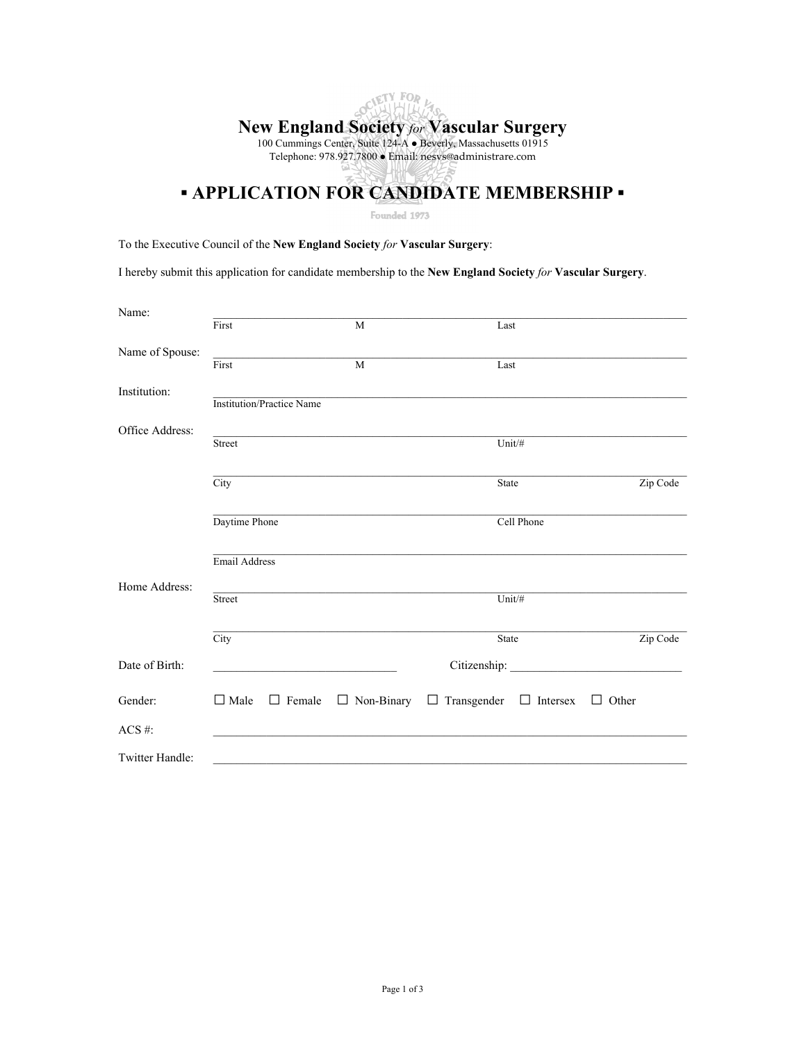# OCIETY FOR **New England Society** *for* **Vascular Surgery** 100 Cummings Center, Suite 124-A · Beverly, Massachusetts 01915 Telephone: 978.927.7800 Email: nesvs@administrare.com

## **▪ APPLICATION FOR CANDIDATE MEMBERSHIP ▪**

Founded 1973

To the Executive Council of the **New England Society** *for* **Vascular Surgery**:

I hereby submit this application for candidate membership to the **New England Society** *for* **Vascular Surgery**.

| Name:           |                                  |              |                                                      |              |
|-----------------|----------------------------------|--------------|------------------------------------------------------|--------------|
|                 | First                            | M            | Last                                                 |              |
| Name of Spouse: |                                  |              |                                                      |              |
|                 | $\overline{\text{First}}$        | $\mathbf{M}$ | Last                                                 |              |
| Institution:    |                                  |              |                                                      |              |
|                 | <b>Institution/Practice Name</b> |              |                                                      |              |
| Office Address: |                                  |              |                                                      |              |
|                 | Street                           |              | Unit/#                                               |              |
|                 |                                  |              |                                                      |              |
|                 | City                             |              | State                                                | Zip Code     |
|                 |                                  |              |                                                      |              |
|                 | Daytime Phone                    |              | Cell Phone                                           |              |
|                 |                                  |              |                                                      |              |
|                 | Email Address                    |              |                                                      |              |
| Home Address:   |                                  |              |                                                      |              |
|                 | Street                           |              | Unit/#                                               |              |
|                 |                                  |              |                                                      |              |
|                 | $\overline{\mathrm{City}}$       |              | State                                                | Zip Code     |
| Date of Birth:  |                                  |              |                                                      |              |
|                 |                                  |              |                                                      |              |
| Gender:         | $\Box$ Male<br>$\Box$ Female     |              | $\Box$ Non-Binary $\Box$ Transgender $\Box$ Intersex | $\Box$ Other |
| ACS#:           |                                  |              |                                                      |              |
|                 |                                  |              |                                                      |              |
| Twitter Handle: |                                  |              |                                                      |              |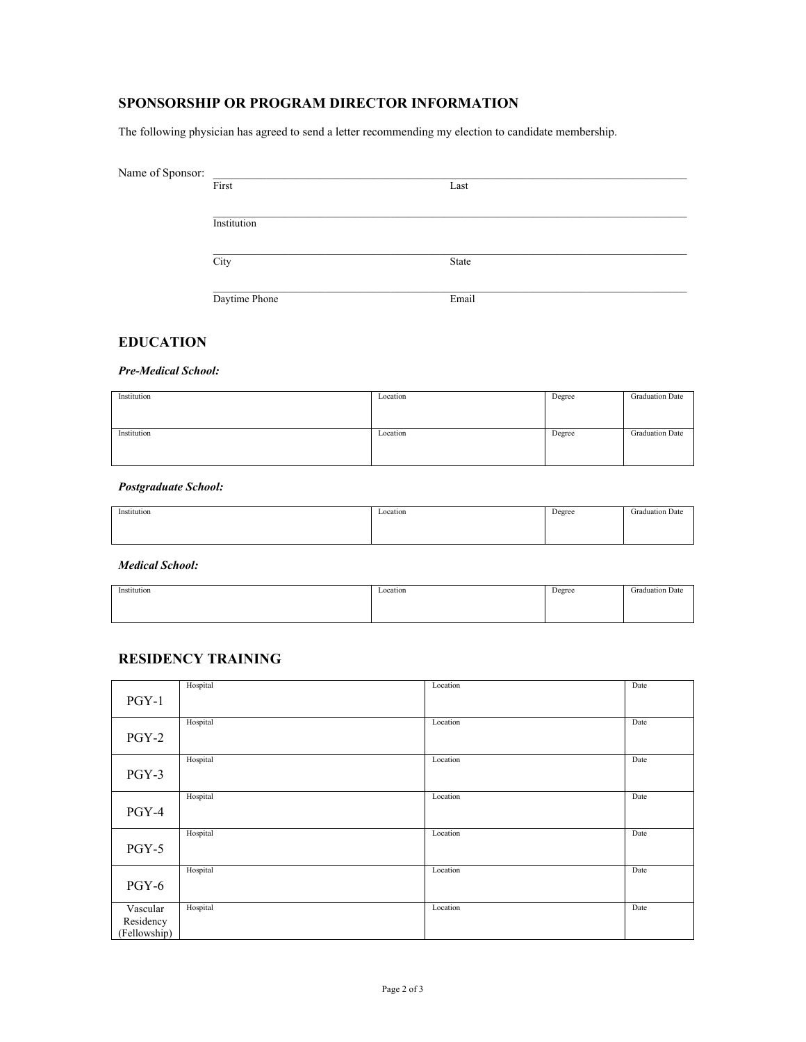### **SPONSORSHIP OR PROGRAM DIRECTOR INFORMATION**

The following physician has agreed to send a letter recommending my election to candidate membership.

| Name of Sponsor: |               |       |
|------------------|---------------|-------|
|                  | First         | Last  |
|                  |               |       |
|                  | Institution   |       |
|                  |               |       |
|                  | City          | State |
|                  |               |       |
|                  | Daytime Phone | Email |

#### **EDUCATION**

*Pre-Medical School:*

| Institution | Location | Degree | <b>Graduation Date</b> |
|-------------|----------|--------|------------------------|
| Institution | Location | Degree | <b>Graduation Date</b> |

*Postgraduate School:*

| Institution | Location | Degree | Graduation Date |
|-------------|----------|--------|-----------------|
|             |          |        |                 |
|             |          |        |                 |
|             |          |        |                 |
|             |          |        |                 |
|             |          |        |                 |

*Medical School:*

| Institution | Location | Degree | <b>Graduation Date</b> |
|-------------|----------|--------|------------------------|
|             |          |        |                        |
|             |          |        |                        |
|             |          |        |                        |
|             |          |        |                        |
|             |          |        |                        |

#### **RESIDENCY TRAINING**

|              | Hospital | Location | Date |
|--------------|----------|----------|------|
| $PGY-1$      |          |          |      |
|              | Hospital | Location | Date |
| $PGY-2$      |          |          |      |
|              | Hospital | Location | Date |
| PGY-3        |          |          |      |
|              | Hospital | Location | Date |
| PGY-4        |          |          |      |
|              | Hospital | Location | Date |
| $PGY-5$      |          |          |      |
|              | Hospital | Location | Date |
| PGY-6        |          |          |      |
| Vascular     | Hospital | Location | Date |
| Residency    |          |          |      |
| (Fellowship) |          |          |      |